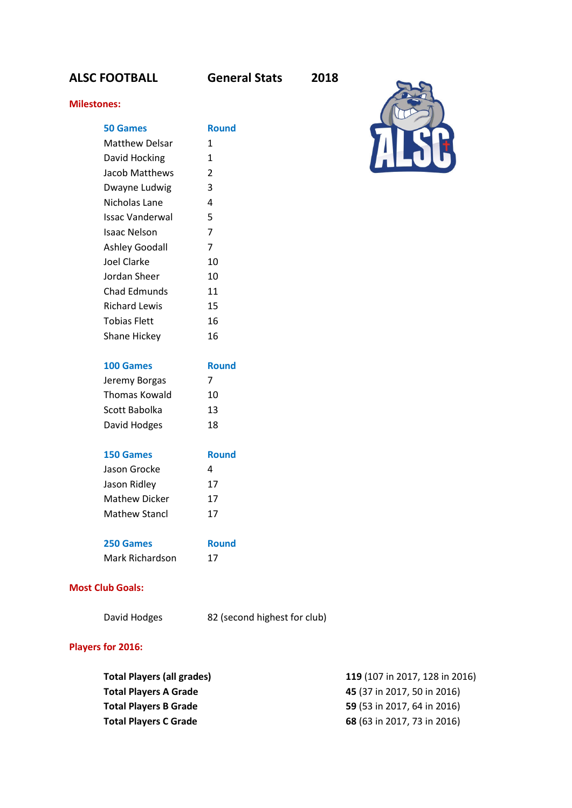# **ALSC FOOTBALL General Stats 2018**

#### **Milestones:**

| <b>50 Games</b>       | Round |
|-----------------------|-------|
| Matthew Delsar        | 1     |
| David Hocking         | 1     |
| Jacob Matthews        | 2     |
| Dwayne Ludwig         | 3     |
| Nicholas Lane         | 4     |
| Issac Vanderwal       | 5     |
| <b>Isaac Nelson</b>   | 7     |
| <b>Ashley Goodall</b> | 7     |
| <b>Joel Clarke</b>    | 10    |
| Jordan Sheer          | 10    |
| Chad Edmunds          | 11    |
| <b>Richard Lewis</b>  | 15    |
| <b>Tobias Flett</b>   | 16    |
| Shane Hickey          | 16    |
|                       |       |

| 100 Games     | <b>Round</b> |
|---------------|--------------|
| Jeremy Borgas | 7            |
| Thomas Kowald | 10           |
| Scott Babolka | 13           |
| David Hodges  | 18           |
|               |              |

| <b>Round</b> |
|--------------|
| Δ            |
| 17           |
| 17           |
| 17           |
|              |

## **250 Games Round** Mark Richardson 17

#### **Most Club Goals:**

| David Hodges | 82 (second highest for club) |
|--------------|------------------------------|
|--------------|------------------------------|

## **Players for 2016:**

| <b>Total Players (all grades)</b> | 119 (107 in 2017, 128 in 2016)     |
|-----------------------------------|------------------------------------|
| <b>Total Players A Grade</b>      | 45 (37 in 2017, 50 in 2016)        |
| <b>Total Players B Grade</b>      | <b>59</b> (53 in 2017, 64 in 2016) |
| <b>Total Players C Grade</b>      | 68 (63 in 2017, 73 in 2016)        |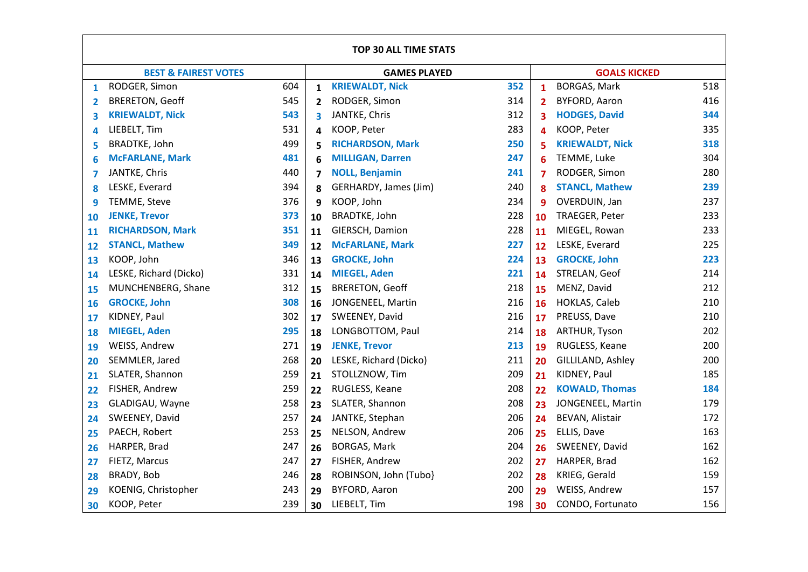|    | <b>TOP 30 ALL TIME STATS</b>    |     |                         |                         |     |                         |                        |     |
|----|---------------------------------|-----|-------------------------|-------------------------|-----|-------------------------|------------------------|-----|
|    | <b>BEST &amp; FAIREST VOTES</b> |     |                         | <b>GAMES PLAYED</b>     |     |                         | <b>GOALS KICKED</b>    |     |
| 1  | RODGER, Simon                   | 604 | 1                       | <b>KRIEWALDT, Nick</b>  | 352 | $\mathbf{1}$            | <b>BORGAS, Mark</b>    | 518 |
| 2  | <b>BRERETON, Geoff</b>          | 545 | $\mathbf{2}$            | RODGER, Simon           | 314 | $\overline{2}$          | BYFORD, Aaron          | 416 |
| 3  | <b>KRIEWALDT, Nick</b>          | 543 | 3                       | JANTKE, Chris           | 312 | 3                       | <b>HODGES, David</b>   | 344 |
| 4  | LIEBELT, Tim                    | 531 | 4                       | KOOP, Peter             | 283 | $\overline{\mathbf{A}}$ | KOOP, Peter            | 335 |
| 5  | BRADTKE, John                   | 499 | 5                       | <b>RICHARDSON, Mark</b> | 250 | 5                       | <b>KRIEWALDT, Nick</b> | 318 |
| 6  | <b>McFARLANE, Mark</b>          | 481 | 6                       | <b>MILLIGAN, Darren</b> | 247 | 6                       | TEMME, Luke            | 304 |
| 7  | JANTKE, Chris                   | 440 | $\overline{\mathbf{z}}$ | <b>NOLL, Benjamin</b>   | 241 | $\overline{\mathbf{z}}$ | RODGER, Simon          | 280 |
| 8  | LESKE, Everard                  | 394 | 8                       | GERHARDY, James (Jim)   | 240 | 8                       | <b>STANCL, Mathew</b>  | 239 |
| 9  | TEMME, Steve                    | 376 | 9                       | KOOP, John              | 234 | 9                       | OVERDUIN, Jan          | 237 |
| 10 | <b>JENKE, Trevor</b>            | 373 | 10                      | BRADTKE, John           | 228 | 10                      | TRAEGER, Peter         | 233 |
| 11 | <b>RICHARDSON, Mark</b>         | 351 | 11                      | GIERSCH, Damion         | 228 | 11                      | MIEGEL, Rowan          | 233 |
| 12 | <b>STANCL, Mathew</b>           | 349 | 12                      | <b>McFARLANE, Mark</b>  | 227 | 12                      | LESKE, Everard         | 225 |
| 13 | KOOP, John                      | 346 | 13                      | <b>GROCKE, John</b>     | 224 | 13                      | <b>GROCKE, John</b>    | 223 |
| 14 | LESKE, Richard (Dicko)          | 331 | 14                      | <b>MIEGEL, Aden</b>     | 221 | 14                      | STRELAN, Geof          | 214 |
| 15 | MUNCHENBERG, Shane              | 312 | 15                      | <b>BRERETON, Geoff</b>  | 218 | 15                      | MENZ, David            | 212 |
| 16 | <b>GROCKE, John</b>             | 308 | 16                      | JONGENEEL, Martin       | 216 | 16                      | HOKLAS, Caleb          | 210 |
| 17 | KIDNEY, Paul                    | 302 | 17                      | SWEENEY, David          | 216 | 17                      | PREUSS, Dave           | 210 |
| 18 | <b>MIEGEL, Aden</b>             | 295 | 18                      | LONGBOTTOM, Paul        | 214 | 18                      | <b>ARTHUR, Tyson</b>   | 202 |
| 19 | WEISS, Andrew                   | 271 | 19                      | <b>JENKE, Trevor</b>    | 213 | 19                      | RUGLESS, Keane         | 200 |
| 20 | SEMMLER, Jared                  | 268 | 20                      | LESKE, Richard (Dicko)  | 211 | 20                      | GILLILAND, Ashley      | 200 |
| 21 | SLATER, Shannon                 | 259 | 21                      | STOLLZNOW, Tim          | 209 | 21                      | KIDNEY, Paul           | 185 |
| 22 | FISHER, Andrew                  | 259 | 22                      | RUGLESS, Keane          | 208 | 22                      | <b>KOWALD, Thomas</b>  | 184 |
| 23 | GLADIGAU, Wayne                 | 258 | 23                      | SLATER, Shannon         | 208 | 23                      | JONGENEEL, Martin      | 179 |
| 24 | SWEENEY, David                  | 257 | 24                      | JANTKE, Stephan         | 206 | 24                      | <b>BEVAN, Alistair</b> | 172 |
| 25 | PAECH, Robert                   | 253 | 25                      | NELSON, Andrew          | 206 | 25                      | ELLIS, Dave            | 163 |
| 26 | HARPER, Brad                    | 247 | 26                      | <b>BORGAS, Mark</b>     | 204 | 26                      | SWEENEY, David         | 162 |
| 27 | FIETZ, Marcus                   | 247 | 27                      | FISHER, Andrew          | 202 | 27                      | HARPER, Brad           | 162 |
| 28 | BRADY, Bob                      | 246 | 28                      | ROBINSON, John (Tubo)   | 202 | 28                      | KRIEG, Gerald          | 159 |
| 29 | KOENIG, Christopher             | 243 | 29                      | BYFORD, Aaron           | 200 | 29                      | WEISS, Andrew          | 157 |
| 30 | KOOP, Peter                     | 239 | 30                      | LIEBELT, Tim            | 198 | 30                      | CONDO, Fortunato       | 156 |